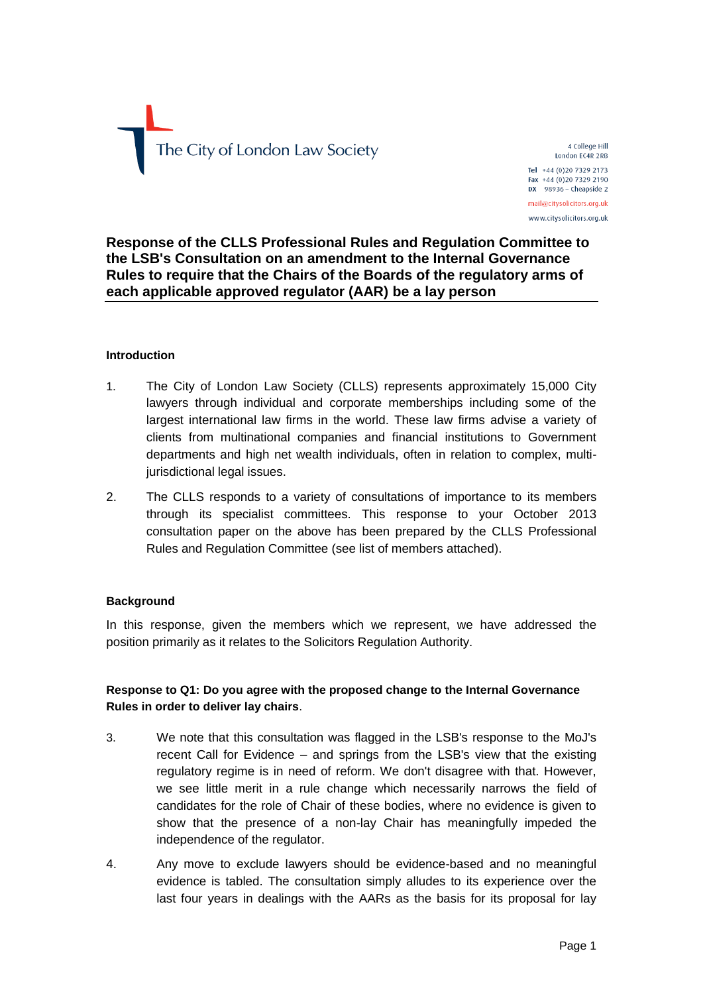

4 College Hill London EC4R 2RB Tel +44 (0)20 7329 2173 Fax +44 (0)20 7329 2190  $DX$  98936 - Cheapside 2 mail@citysolicitors.org.uk www.citysolicitors.org.uk

## **Response of the CLLS Professional Rules and Regulation Committee to the LSB's Consultation on an amendment to the Internal Governance Rules to require that the Chairs of the Boards of the regulatory arms of each applicable approved regulator (AAR) be a lay person**

#### **Introduction**

- 1. The City of London Law Society (CLLS) represents approximately 15,000 City lawyers through individual and corporate memberships including some of the largest international law firms in the world. These law firms advise a variety of clients from multinational companies and financial institutions to Government departments and high net wealth individuals, often in relation to complex, multijurisdictional legal issues.
- 2. The CLLS responds to a variety of consultations of importance to its members through its specialist committees. This response to your October 2013 consultation paper on the above has been prepared by the CLLS Professional Rules and Regulation Committee (see list of members attached).

### **Background**

In this response, given the members which we represent, we have addressed the position primarily as it relates to the Solicitors Regulation Authority.

### **Response to Q1: Do you agree with the proposed change to the Internal Governance Rules in order to deliver lay chairs**.

- 3. We note that this consultation was flagged in the LSB's response to the MoJ's recent Call for Evidence – and springs from the LSB's view that the existing regulatory regime is in need of reform. We don't disagree with that. However, we see little merit in a rule change which necessarily narrows the field of candidates for the role of Chair of these bodies, where no evidence is given to show that the presence of a non-lay Chair has meaningfully impeded the independence of the regulator.
- 4. Any move to exclude lawyers should be evidence-based and no meaningful evidence is tabled. The consultation simply alludes to its experience over the last four years in dealings with the AARs as the basis for its proposal for lay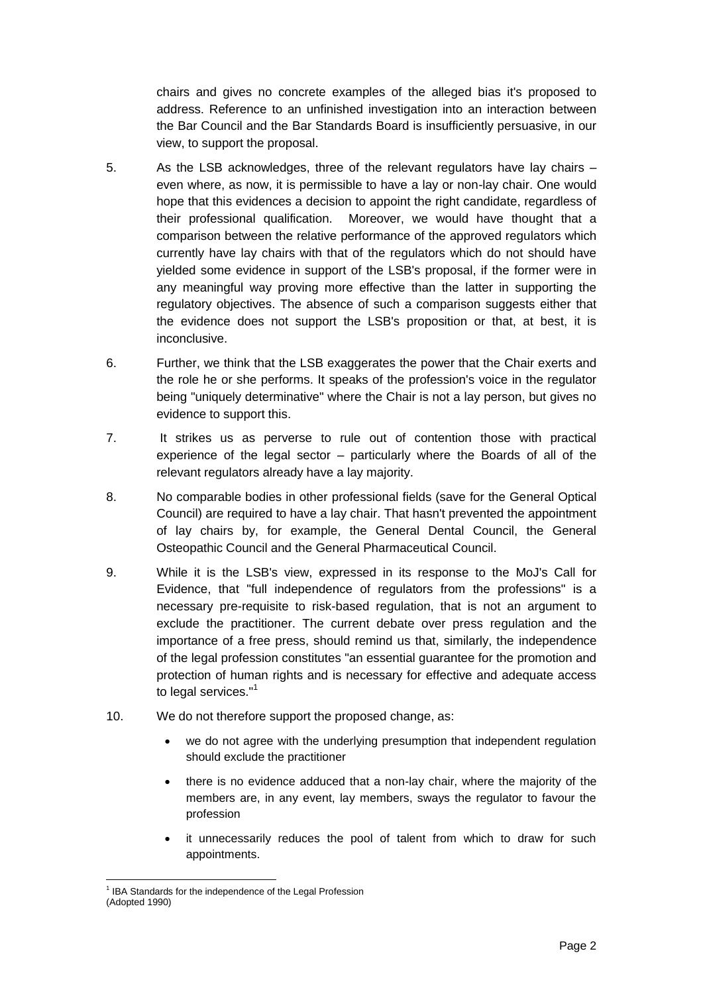chairs and gives no concrete examples of the alleged bias it's proposed to address. Reference to an unfinished investigation into an interaction between the Bar Council and the Bar Standards Board is insufficiently persuasive, in our view, to support the proposal.

- 5. As the LSB acknowledges, three of the relevant regulators have lay chairs even where, as now, it is permissible to have a lay or non-lay chair. One would hope that this evidences a decision to appoint the right candidate, regardless of their professional qualification. Moreover, we would have thought that a comparison between the relative performance of the approved regulators which currently have lay chairs with that of the regulators which do not should have yielded some evidence in support of the LSB's proposal, if the former were in any meaningful way proving more effective than the latter in supporting the regulatory objectives. The absence of such a comparison suggests either that the evidence does not support the LSB's proposition or that, at best, it is inconclusive.
- 6. Further, we think that the LSB exaggerates the power that the Chair exerts and the role he or she performs. It speaks of the profession's voice in the regulator being "uniquely determinative" where the Chair is not a lay person, but gives no evidence to support this.
- 7. It strikes us as perverse to rule out of contention those with practical experience of the legal sector – particularly where the Boards of all of the relevant regulators already have a lay majority.
- 8. No comparable bodies in other professional fields (save for the General Optical Council) are required to have a lay chair. That hasn't prevented the appointment of lay chairs by, for example, the General Dental Council, the General Osteopathic Council and the General Pharmaceutical Council.
- 9. While it is the LSB's view, expressed in its response to the MoJ's Call for Evidence, that "full independence of regulators from the professions" is a necessary pre-requisite to risk-based regulation, that is not an argument to exclude the practitioner. The current debate over press regulation and the importance of a free press, should remind us that, similarly, the independence of the legal profession constitutes "an essential guarantee for the promotion and protection of human rights and is necessary for effective and adequate access to legal services."<sup>1</sup>
- 10. We do not therefore support the proposed change, as:
	- we do not agree with the underlying presumption that independent regulation should exclude the practitioner
	- there is no evidence adduced that a non-lay chair, where the majority of the members are, in any event, lay members, sways the regulator to favour the profession
	- it unnecessarily reduces the pool of talent from which to draw for such appointments.

<sup>1</sup> <sup>1</sup> IBA Standards for the independence of the Legal Profession (Adopted 1990)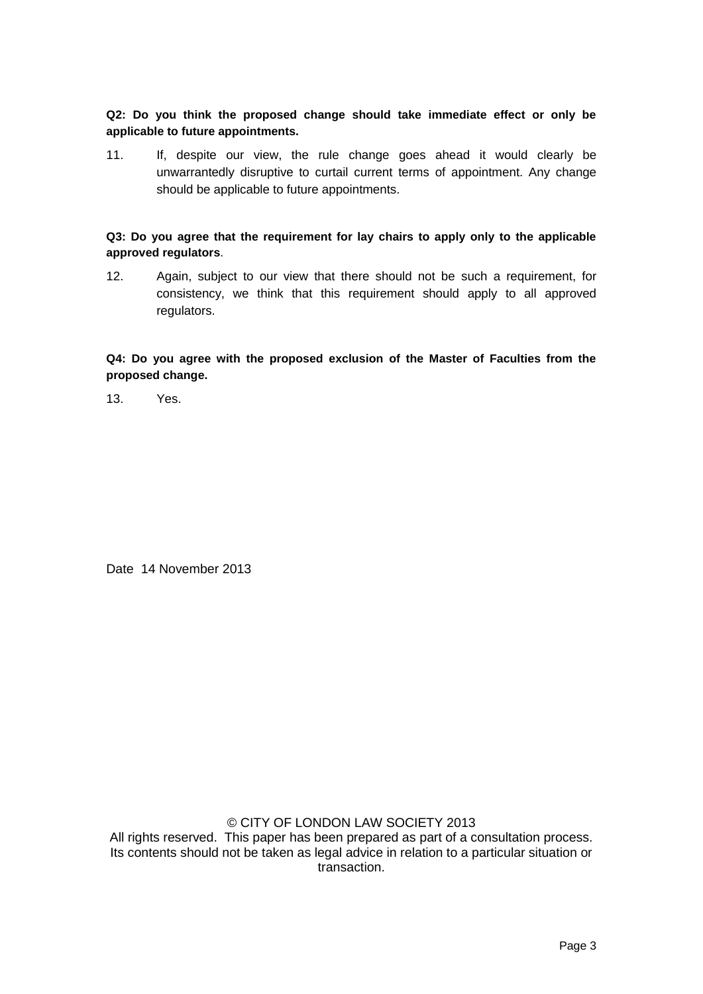**Q2: Do you think the proposed change should take immediate effect or only be applicable to future appointments.**

11. If, despite our view, the rule change goes ahead it would clearly be unwarrantedly disruptive to curtail current terms of appointment. Any change should be applicable to future appointments.

**Q3: Do you agree that the requirement for lay chairs to apply only to the applicable approved regulators**.

12. Again, subject to our view that there should not be such a requirement, for consistency, we think that this requirement should apply to all approved regulators.

**Q4: Do you agree with the proposed exclusion of the Master of Faculties from the proposed change.**

13. Yes.

Date 14 November 2013

# © CITY OF LONDON LAW SOCIETY 2013

All rights reserved. This paper has been prepared as part of a consultation process. Its contents should not be taken as legal advice in relation to a particular situation or transaction.